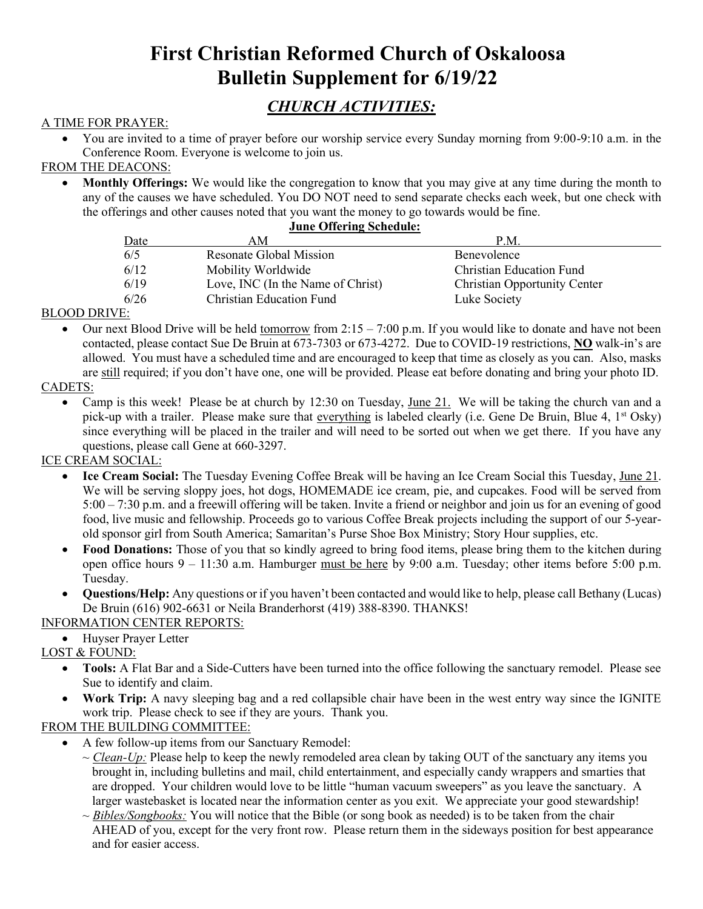# **First Christian Reformed Church of Oskaloosa Bulletin Supplement for 6/19/22**

## *CHURCH ACTIVITIES:*

## A TIME FOR PRAYER:

• You are invited to a time of prayer before our worship service every Sunday morning from 9:00-9:10 a.m. in the Conference Room. Everyone is welcome to join us.

## FROM THE DEACONS:

• **Monthly Offerings:** We would like the congregation to know that you may give at any time during the month to any of the causes we have scheduled. You DO NOT need to send separate checks each week, but one check with the offerings and other causes noted that you want the money to go towards would be fine.

#### **June Offering Schedule:**

| Date | AΜ                                | P.M.                                |
|------|-----------------------------------|-------------------------------------|
| 6/5  | Resonate Global Mission           | Benevolence                         |
| 6/12 | Mobility Worldwide                | Christian Education Fund            |
| 6/19 | Love, INC (In the Name of Christ) | <b>Christian Opportunity Center</b> |
| 6/26 | <b>Christian Education Fund</b>   | Luke Society                        |

### BLOOD DRIVE:

Our next Blood Drive will be held tomorrow from  $2:15 - 7:00$  p.m. If you would like to donate and have not been contacted, please contact Sue De Bruin at 673-7303 or 673-4272. Due to COVID-19 restrictions, **NO** walk-in's are allowed. You must have a scheduled time and are encouraged to keep that time as closely as you can. Also, masks are still required; if you don't have one, one will be provided. Please eat before donating and bring your photo ID.

### CADETS:

• Camp is this week! Please be at church by 12:30 on Tuesday, June 21. We will be taking the church van and a pick-up with a trailer. Please make sure that everything is labeled clearly (i.e. Gene De Bruin, Blue 4, 1<sup>st</sup> Osky) since everything will be placed in the trailer and will need to be sorted out when we get there. If you have any questions, please call Gene at 660-3297.

## ICE CREAM SOCIAL:

- **Ice Cream Social:** The Tuesday Evening Coffee Break will be having an Ice Cream Social this Tuesday, June 21. We will be serving sloppy joes, hot dogs, HOMEMADE ice cream, pie, and cupcakes. Food will be served from 5:00 – 7:30 p.m. and a freewill offering will be taken. Invite a friend or neighbor and join us for an evening of good food, live music and fellowship. Proceeds go to various Coffee Break projects including the support of our 5-yearold sponsor girl from South America; Samaritan's Purse Shoe Box Ministry; Story Hour supplies, etc.
- **Food Donations:** Those of you that so kindly agreed to bring food items, please bring them to the kitchen during open office hours  $9 - 11:30$  a.m. Hamburger must be here by  $9:00$  a.m. Tuesday; other items before 5:00 p.m. Tuesday.
- **Questions/Help:** Any questions or if you haven't been contacted and would like to help, please call Bethany (Lucas) De Bruin (616) 902-6631 or Neila Branderhorst (419) 388-8390. THANKS!

## INFORMATION CENTER REPORTS:

• Huyser Prayer Letter

LOST & FOUND:

- **Tools:** A Flat Bar and a Side-Cutters have been turned into the office following the sanctuary remodel. Please see Sue to identify and claim.
- **Work Trip:** A navy sleeping bag and a red collapsible chair have been in the west entry way since the IGNITE work trip. Please check to see if they are yours. Thank you.

#### FROM THE BUILDING COMMITTEE:

- A few follow-up items from our Sanctuary Remodel:
	- $\sim$  *Clean-Up*: Please help to keep the newly remodeled area clean by taking OUT of the sanctuary any items you brought in, including bulletins and mail, child entertainment, and especially candy wrappers and smarties that are dropped. Your children would love to be little "human vacuum sweepers" as you leave the sanctuary. A larger wastebasket is located near the information center as you exit. We appreciate your good stewardship!
	- $\sim$  *Bibles/Songbooks:* You will notice that the Bible (or song book as needed) is to be taken from the chair AHEAD of you, except for the very front row. Please return them in the sideways position for best appearance and for easier access.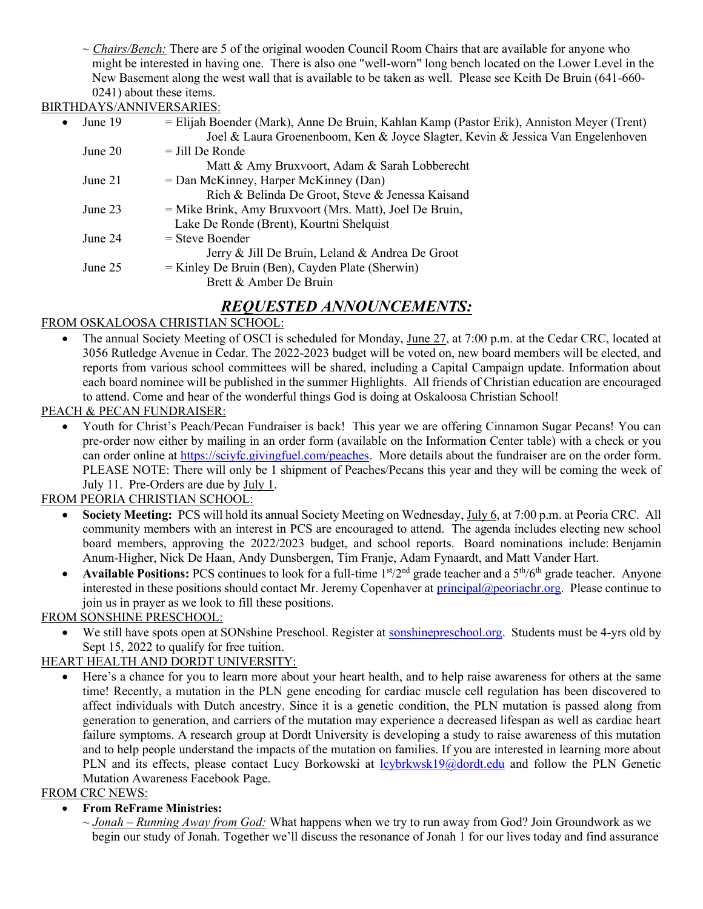~ *Chairs/Bench:* There are 5 of the original wooden Council Room Chairs that are available for anyone who might be interested in having one. There is also one "well-worn" long bench located on the Lower Level in the New Basement along the west wall that is available to be taken as well. Please see Keith De Bruin (641-660- 0241) about these items.

## BIRTHDAYS/ANNIVERSARIES:

| $\bullet$ | June 19   | = Elijah Boender (Mark), Anne De Bruin, Kahlan Kamp (Pastor Erik), Anniston Meyer (Trent)<br>Joel & Laura Groenenboom, Ken & Joyce Slagter, Kevin & Jessica Van Engelenhoven |
|-----------|-----------|------------------------------------------------------------------------------------------------------------------------------------------------------------------------------|
|           | June $20$ | $=$ Jill De Ronde                                                                                                                                                            |
|           |           | Matt & Amy Bruxvoort, Adam & Sarah Lobberecht                                                                                                                                |
|           | June $21$ | = Dan McKinney, Harper McKinney (Dan)                                                                                                                                        |
|           |           | Rich & Belinda De Groot, Steve & Jenessa Kaisand                                                                                                                             |
|           | June 23   | = Mike Brink, Amy Bruxvoort (Mrs. Matt), Joel De Bruin,<br>Lake De Ronde (Brent), Kourtni Shelquist                                                                          |
|           | June 24   | $=$ Steve Boender<br>Jerry & Jill De Bruin, Leland & Andrea De Groot                                                                                                         |
|           | June 25   | $=$ Kinley De Bruin (Ben), Cayden Plate (Sherwin)<br>Brett & Amber De Bruin                                                                                                  |
|           |           |                                                                                                                                                                              |

## *REQUESTED ANNOUNCEMENTS:*

## FROM OSKALOOSA CHRISTIAN SCHOOL:

• The annual Society Meeting of OSCI is scheduled for Monday, June 27, at 7:00 p.m. at the Cedar CRC, located at 3056 Rutledge Avenue in Cedar. The 2022-2023 budget will be voted on, new board members will be elected, and reports from various school committees will be shared, including a Capital Campaign update. Information about each board nominee will be published in the summer Highlights. All friends of Christian education are encouraged to attend. Come and hear of the wonderful things God is doing at Oskaloosa Christian School!

## PEACH & PECAN FUNDRAISER:

• Youth for Christ's Peach/Pecan Fundraiser is back! This year we are offering Cinnamon Sugar Pecans! You can pre-order now either by mailing in an order form (available on the Information Center table) with a check or you can order online at [https://sciyfc.givingfuel.com/peaches.](http://mail.mahaska.org/cgi-bin/sqwebmail?timestamp=1653406480&md5=NZ94Zxx557tphRQcy%2Baeyw%3D%3D&redirect=https%3A%2F%2Fsciyfc.givingfuel.com%2Fpeaches) More details about the fundraiser are on the order form. PLEASE NOTE: There will only be 1 shipment of Peaches/Pecans this year and they will be coming the week of July 11. Pre-Orders are due by July 1.

## FROM PEORIA CHRISTIAN SCHOOL:

- **Society Meeting:** PCS will hold its annual Society Meeting on Wednesday, July 6, at 7:00 p.m. at Peoria CRC. All community members with an interest in PCS are encouraged to attend. The agenda includes electing new school board members, approving the 2022/2023 budget, and school reports. Board nominations include: Benjamin Anum-Higher, Nick De Haan, Andy Dunsbergen, Tim Franje, Adam Fynaardt, and Matt Vander Hart.
- **Available Positions:** PCS continues to look for a full-time 1<sup>st</sup>/2<sup>nd</sup> grade teacher and a 5<sup>th</sup>/6<sup>th</sup> grade teacher. Anyone interested in these positions should contact Mr. Jeremy Copenhaver at [principal@peoriachr.org.](http://mail.mahaska.org/cgi-bin/sqwebmail/login/firstcrcosky%40mahaska.org.authvchkpw/0E73346CA597CE3D766B1A8CCC3ACD7F/1654701179?folder=INBOX&form=newmsg&to=principal@peoriachr.org) Please continue to join us in prayer as we look to fill these positions.

## FROM SONSHINE PRESCHOOL:

• We still have spots open at SONshine Preschool. Register at [sonshinepreschool.org.](http://mail.mahaska.org/cgi-bin/sqwebmail?timestamp=1654786486&md5=ehGDaKzFGXUG%2BXn0RJvAgA%3D%3D&redirect=http%3A%2F%2Fsonshinepreschool.org) Students must be 4-yrs old by Sept 15, 2022 to qualify for free tuition.

## HEART HEALTH AND DORDT UNIVERSITY:

• Here's a chance for you to learn more about your heart health, and to help raise awareness for others at the same time! Recently, a mutation in the PLN gene encoding for cardiac muscle cell regulation has been discovered to affect individuals with Dutch ancestry. Since it is a genetic condition, the PLN mutation is passed along from generation to generation, and carriers of the mutation may experience a decreased lifespan as well as cardiac heart failure symptoms. A research group at Dordt University is developing a study to raise awareness of this mutation and to help people understand the impacts of the mutation on families. If you are interested in learning more about PLN and its effects, please contact Lucy Borkowski at [lcybrkwsk19@dordt.edu](mailto:lcybrkwsk19@dordt.edu) and follow the PLN Genetic Mutation Awareness Facebook Page.

## FROM CRC NEWS:

## • **From ReFrame Ministries:**

~ *Jonah – Running Away from God:* What happens when we try to run away from God? Join Groundwork as we begin our study of Jonah. Together we'll discuss the resonance of Jonah 1 for our lives today and find assurance